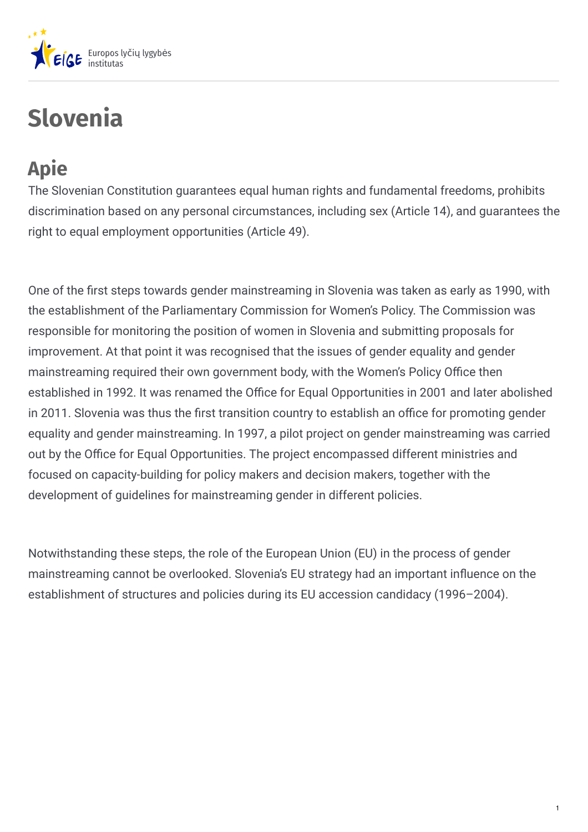

# **Slovenia**

## **Apie**

The Slovenian Constitution guarantees equal human rights and fundamental freedoms, prohibits discrimination based on any personal circumstances, including sex (Article 14), and guarantees the right to equal employment opportunities (Article 49).

One of the first steps towards gender mainstreaming in Slovenia was taken as early as 1990, with the establishment of the Parliamentary Commission for Women's Policy. The Commission was responsible for monitoring the position of women in Slovenia and submitting proposals for improvement. At that point it was recognised that the issues of gender equality and gender mainstreaming required their own government body, with the Women's Policy Office then established in 1992. It was renamed the Office for Equal Opportunities in 2001 and later abolished in 2011. Slovenia was thus the first transition country to establish an office for promoting gender equality and gender mainstreaming. In 1997, a pilot project on gender mainstreaming was carried out by the Office for Equal Opportunities. The project encompassed different ministries and focused on capacity-building for policy makers and decision makers, together with the development of guidelines for mainstreaming gender in different policies.

Notwithstanding these steps, the role of the European Union (EU) in the process of gender mainstreaming cannot be overlooked. Slovenia's EU strategy had an important in4uence on the establishment of structures and policies during its EU accession candidacy (1996–2004).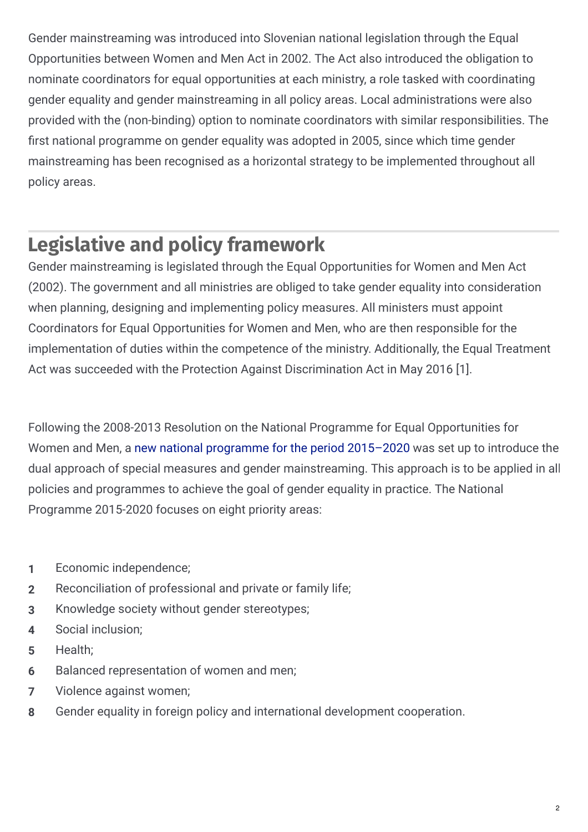Gender mainstreaming was introduced into Slovenian national legislation through the Equal Opportunities between Women and Men Act in 2002. The Act also introduced the obligation to nominate coordinators for equal opportunities at each ministry, a role tasked with coordinating gender equality and gender mainstreaming in all policy areas. Local administrations were also provided with the (non-binding) option to nominate coordinators with similar responsibilities. The first national programme on gender equality was adopted in 2005, since which time gender mainstreaming has been recognised as a horizontal strategy to be implemented throughout all policy areas.

## **Legislative and policy framework**

Gender mainstreaming is legislated through the Equal Opportunities for Women and Men Act (2002). The government and all ministries are obliged to take gender equality into consideration when planning, designing and implementing policy measures. All ministers must appoint Coordinators for Equal Opportunities for Women and Men, who are then responsible for the implementation of duties within the competence of the ministry. Additionally, the Equal Treatment Act was succeeded with the Protection Against Discrimination Act in May 2016 [1].

Following the 2008-2013 Resolution on the National Programme for Equal Opportunities for Women and Men, a new national [programme](http://www.pisrs.si/Pis.web/pregledPredpisa?id=RESO108) for the period 2015–2020 was set up to introduce the dual approach of special measures and gender mainstreaming. This approach is to be applied in all policies and programmes to achieve the goal of gender equality in practice. The National Programme 2015-2020 focuses on eight priority areas:

- **1** Economic independence;
- **2** Reconciliation of professional and private or family life;
- **3** Knowledge society without gender stereotypes;
- **4** Social inclusion;
- **5** Health;
- **6** Balanced representation of women and men;
- **7** Violence against women;
- **8** Gender equality in foreign policy and international development cooperation.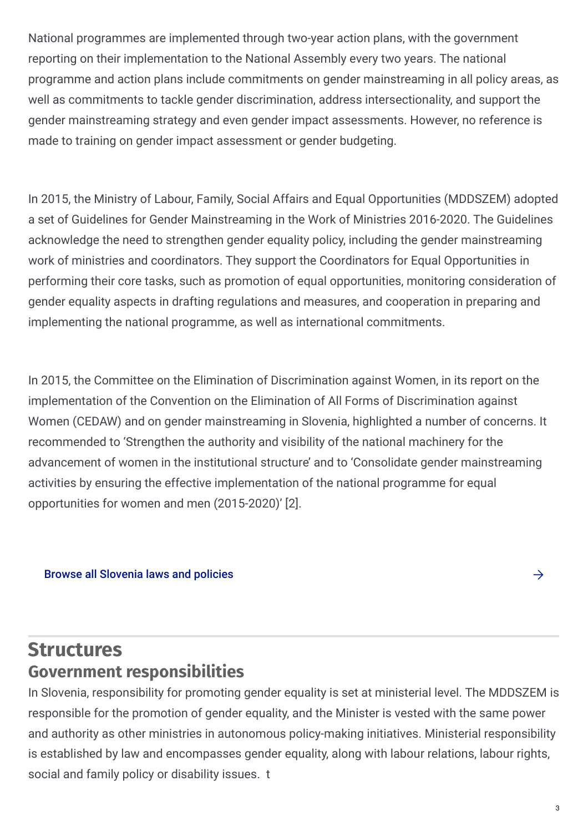National programmes are implemented through two-year action plans, with the government reporting on their implementation to the National Assembly every two years. The national programme and action plans include commitments on gender mainstreaming in all policy areas, as well as commitments to tackle gender discrimination, address intersectionality, and support the gender mainstreaming strategy and even gender impact assessments. However, no reference is made to training on gender impact assessment or gender budgeting.

In 2015, the Ministry of Labour, Family, Social Affairs and Equal Opportunities (MDDSZEM) adopted a set of Guidelines for Gender Mainstreaming in the Work of Ministries 2016-2020. The Guidelines acknowledge the need to strengthen gender equality policy, including the gender mainstreaming work of ministries and coordinators. They support the Coordinators for Equal Opportunities in performing their core tasks, such as promotion of equal opportunities, monitoring consideration of gender equality aspects in drafting regulations and measures, and cooperation in preparing and implementing the national programme, as well as international commitments.

In 2015, the Committee on the Elimination of Discrimination against Women, in its report on the implementation of the Convention on the Elimination of All Forms of Discrimination against Women (CEDAW) and on gender mainstreaming in Slovenia, highlighted a number of concerns. It recommended to 'Strengthen the authority and visibility of the national machinery for the advancement of women in the institutional structure' and to 'Consolidate gender mainstreaming activities by ensuring the effective implementation of the national programme for equal opportunities for women and men (2015-2020)' [2].

#### Browse all [Slovenia](https://eige.europa.eu/gender-mainstreaming/countries/browse/slovenia?tp[]=resource) laws and policies  $\rightarrow$

#### **Structures Government responsibilities**

In Slovenia, responsibility for promoting gender equality is set at ministerial level. The MDDSZEM is responsible for the promotion of gender equality, and the Minister is vested with the same power and authority as other ministries in autonomous policy-making initiatives. Ministerial responsibility is established by law and encompasses gender equality, along with labour relations, labour rights, social and family policy or disability issues. t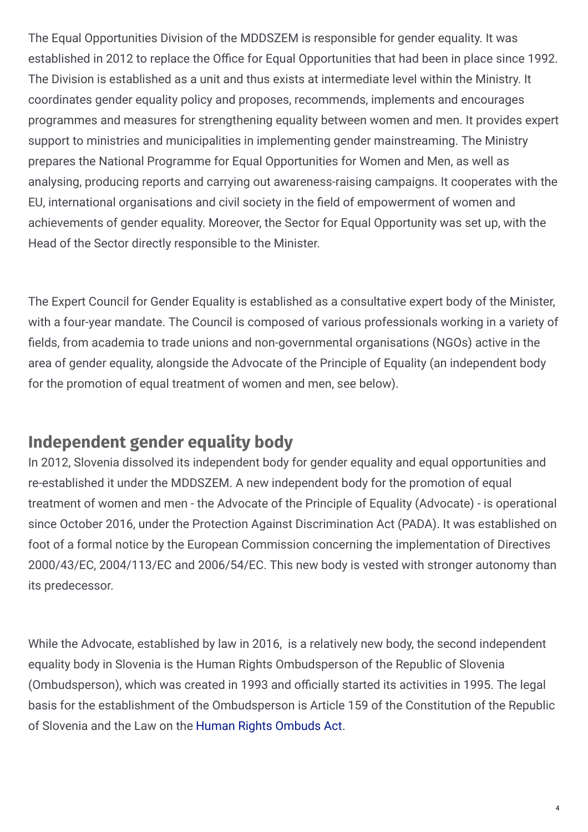The Equal Opportunities Division of the MDDSZEM is responsible for gender equality. It was established in 2012 to replace the Office for Equal Opportunities that had been in place since 1992. The Division is established as a unit and thus exists at intermediate level within the Ministry. It coordinates gender equality policy and proposes, recommends, implements and encourages programmes and measures for strengthening equality between women and men. It provides expert support to ministries and municipalities in implementing gender mainstreaming. The Ministry prepares the National Programme for Equal Opportunities for Women and Men, as well as analysing, producing reports and carrying out awareness-raising campaigns. It cooperates with the EU, international organisations and civil society in the field of empowerment of women and achievements of gender equality. Moreover, the Sector for Equal Opportunity was set up, with the Head of the Sector directly responsible to the Minister.

The Expert Council for Gender Equality is established as a consultative expert body of the Minister, with a four-year mandate. The Council is composed of various professionals working in a variety of fields, from academia to trade unions and non-governmental organisations (NGOs) active in the area of gender equality, alongside the Advocate of the Principle of Equality (an independent body for the promotion of equal treatment of women and men, see below).

#### **Independent gender equality body**

In 2012, Slovenia dissolved its independent body for gender equality and equal opportunities and re-established it under the MDDSZEM. A new independent body for the promotion of equal treatment of women and men - the Advocate of the Principle of Equality (Advocate) - is operational since October 2016, under the Protection Against Discrimination Act (PADA). It was established on foot of a formal notice by the European Commission concerning the implementation of Directives 2000/43/EC, 2004/113/EC and 2006/54/EC. This new body is vested with stronger autonomy than its predecessor.

While the Advocate, established by law in 2016, is a relatively new body, the second independent equality body in Slovenia is the Human Rights Ombudsperson of the Republic of Slovenia (Ombudsperson), which was created in 1993 and officially started its activities in 1995. The legal basis for the establishment of the Ombudsperson is Article 159 of the Constitution of the Republic of Slovenia and the Law on the Human Rights [Ombuds](http://pisrs.si/Pis.web/pregledPredpisa?id=ZAKO300) Act.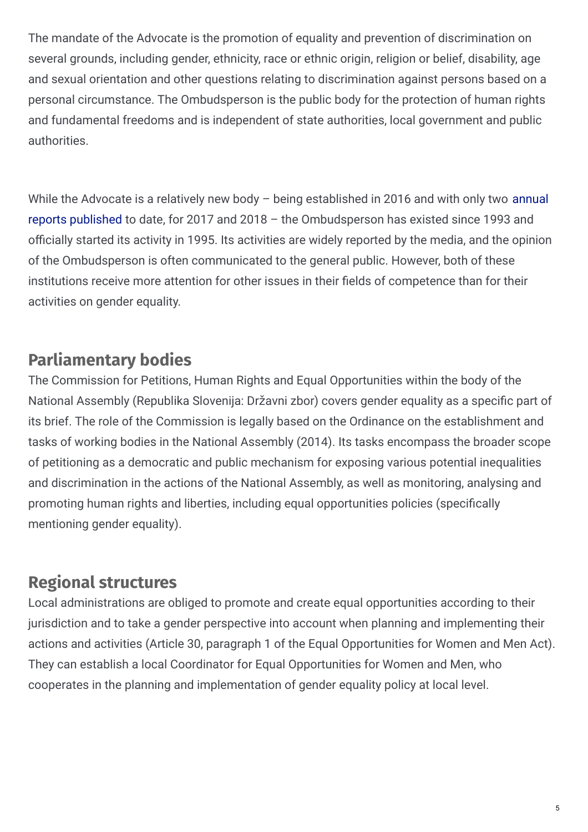The mandate of the Advocate is the promotion of equality and prevention of discrimination on several grounds, including gender, ethnicity, race or ethnic origin, religion or belief, disability, age and sexual orientation and other questions relating to discrimination against persons based on a personal circumstance. The Ombudsperson is the public body for the protection of human rights and fundamental freedoms and is independent of state authorities, local government and public authorities.

While the Advocate is a relatively new body – being established in 2016 and with only two annual reports published to date, for 2017 and 2018 – the [Ombudsperson](http://www.zagovornik.si/en/reports/) has existed since 1993 and officially started its activity in 1995. Its activities are widely reported by the media, and the opinion of the Ombudsperson is often communicated to the general public. However, both of these institutions receive more attention for other issues in their fields of competence than for their activities on gender equality.

#### **Parliamentary bodies**

The Commission for Petitions, Human Rights and Equal Opportunities within the body of the National Assembly (Republika Slovenija: Državni zbor) covers gender equality as a specific part of its brief. The role of the Commission is legally based on the Ordinance on the establishment and tasks of working bodies in the National Assembly (2014). Its tasks encompass the broader scope of petitioning as a democratic and public mechanism for exposing various potential inequalities and discrimination in the actions of the National Assembly, as well as monitoring, analysing and promoting human rights and liberties, including equal opportunities policies (specifically mentioning gender equality).

### **Regional structures**

Local administrations are obliged to promote and create equal opportunities according to their jurisdiction and to take a gender perspective into account when planning and implementing their actions and activities (Article 30, paragraph 1 of the Equal Opportunities for Women and Men Act). They can establish a local Coordinator for Equal Opportunities for Women and Men, who cooperates in the planning and implementation of gender equality policy at local level.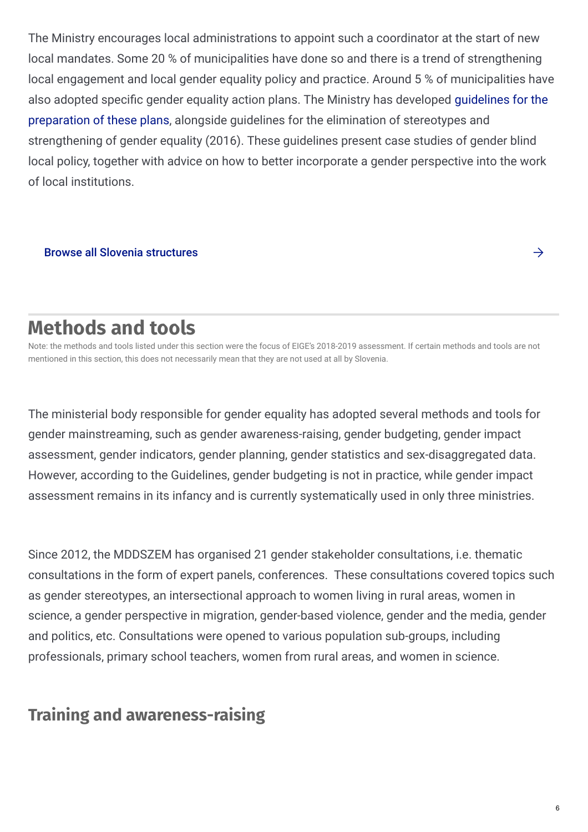The Ministry encourages local administrations to appoint such a coordinator at the start of new local mandates. Some 20 % of municipalities have done so and there is a trend of strengthening local engagement and local gender equality policy and practice. Around 5 % of municipalities have also adopted specific gender equality action plans. The Ministry has developed guidelines for the preparation of these plans, alongside guidelines for the elimination of [stereotypes](http://www.mddsz.gov.si/fileadmin/mddsz.gov.si/pageuploads/dokumenti__pdf/enake_moznosti/NFMPrirocnikAkcijskiNacrti.pdf) and strengthening of gender equality (2016). These guidelines present case studies of gender blind local policy, together with advice on how to better incorporate a gender perspective into the work of local institutions.

#### Browse all Slovenia [structures](https://eige.europa.eu/gender-mainstreaming/countries/browse/slovenia?tp[]=structure)

## **Methods and tools**

Note: the methods and tools listed under this section were the focus of EIGE's 2018-2019 assessment. If certain methods and tools are not mentioned in this section, this does not necessarily mean that they are not used at all by Slovenia.

The ministerial body responsible for gender equality has adopted several methods and tools for gender mainstreaming, such as gender awareness-raising, gender budgeting, gender impact assessment, gender indicators, gender planning, gender statistics and sex-disaggregated data. However, according to the Guidelines, gender budgeting is not in practice, while gender impact assessment remains in its infancy and is currently systematically used in only three ministries.

Since 2012, the MDDSZEM has organised 21 gender stakeholder consultations, i.e. thematic consultations in the form of expert panels, conferences. These consultations covered topics such as gender stereotypes, an intersectional approach to women living in rural areas, women in science, a gender perspective in migration, gender-based violence, gender and the media, gender and politics, etc. Consultations were opened to various population sub-groups, including professionals, primary school teachers, women from rural areas, and women in science.

#### **Training and awareness-raising**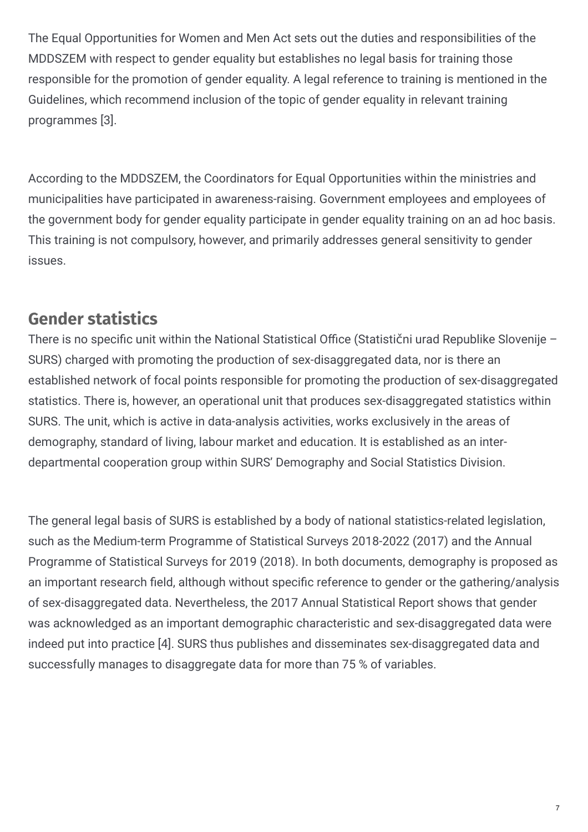The Equal Opportunities for Women and Men Act sets out the duties and responsibilities of the MDDSZEM with respect to gender equality but establishes no legal basis for training those responsible for the promotion of gender equality. A legal reference to training is mentioned in the Guidelines, which recommend inclusion of the topic of gender equality in relevant training programmes [3].

According to the MDDSZEM, the Coordinators for Equal Opportunities within the ministries and municipalities have participated in awareness-raising. Government employees and employees of the government body for gender equality participate in gender equality training on an ad hoc basis. This training is not compulsory, however, and primarily addresses general sensitivity to gender issues.

#### **Gender statistics**

There is no specific unit within the National Statistical Office (Statistični urad Republike Slovenije – SURS) charged with promoting the production of sex-disaggregated data, nor is there an established network of focal points responsible for promoting the production of sex-disaggregated statistics. There is, however, an operational unit that produces sex-disaggregated statistics within SURS. The unit, which is active in data-analysis activities, works exclusively in the areas of demography, standard of living, labour market and education. It is established as an interdepartmental cooperation group within SURS' Demography and Social Statistics Division.

The general legal basis of SURS is established by a body of national statistics-related legislation, such as the Medium-term Programme of Statistical Surveys 2018-2022 (2017) and the Annual Programme of Statistical Surveys for 2019 (2018). In both documents, demography is proposed as an important research field, although without specific reference to gender or the gathering/analysis of sex-disaggregated data. Nevertheless, the 2017 Annual Statistical Report shows that gender was acknowledged as an important demographic characteristic and sex-disaggregated data were indeed put into practice [4]. SURS thus publishes and disseminates sex-disaggregated data and successfully manages to disaggregate data for more than 75 % of variables.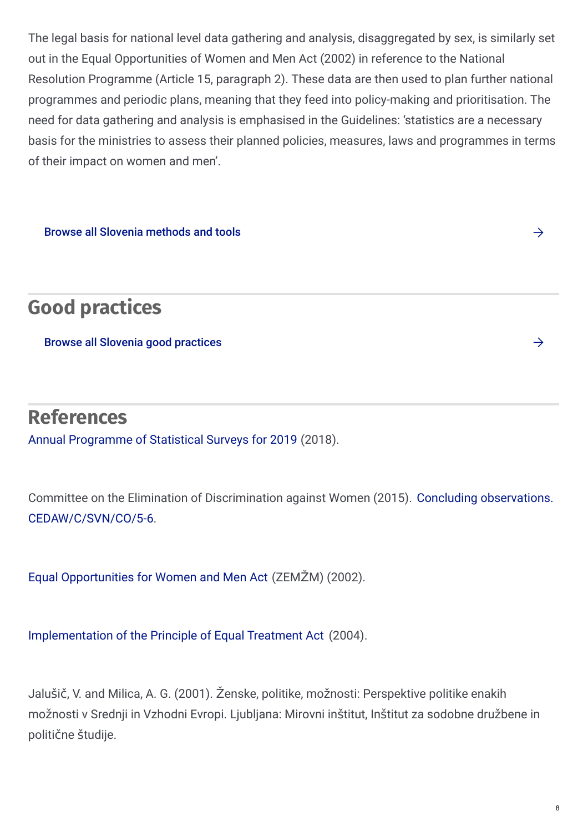The legal basis for national level data gathering and analysis, disaggregated by sex, is similarly set out in the Equal Opportunities of Women and Men Act (2002) in reference to the National Resolution Programme (Article 15, paragraph 2). These data are then used to plan further national programmes and periodic plans, meaning that they feed into policy-making and prioritisation. The need for data gathering and analysis is emphasised in the Guidelines: 'statistics are a necessary basis for the ministries to assess their planned policies, measures, laws and programmes in terms of their impact on women and men'.

Browse all Slovenia [methods](https://eige.europa.eu/gender-mainstreaming/countries/browse/slovenia?tp[]=method_tool) and tools

**Good practices**

Browse all Slovenia good [practices](https://eige.europa.eu/gender-mainstreaming/countries/browse/slovenia?tp[]=good_practice)

#### **References**

Annual [Programme](http://www.pisrs.si/Pis.web/pregledPredpisa?id=DRUG4559) of Statistical Surveys for 2019 (2018).

Committee on the Elimination of Discrimination against Women (2015). Concluding observations. [CEDAW/C/SVN/CO/5-6.](http://tbinternet.ohchr.org/_layouts/15/treatybodyexternal/Download.aspx?symbolno=CEDAW/C/SVN/CO/5-6&Lang=En)

Equal [Opportunities](http://pisrs.si/Pis.web/pregledPredpisa?id=ZAKO3418#) for Women and Men Act (ZEMŽM) (2002).

[Implementation](http://pisrs.si/Pis.web/pregledPredpisa?id=ZAKO3908) of the Principle of Equal Treatment Act (2004).

Jalušič, V. and Milica, A. G. (2001). Ženske, politike, možnosti: Perspektive politike enakih možnosti v Srednji in Vzhodni Evropi. Ljubljana: Mirovni inštitut, Inštitut za sodobne družbene in politične študije.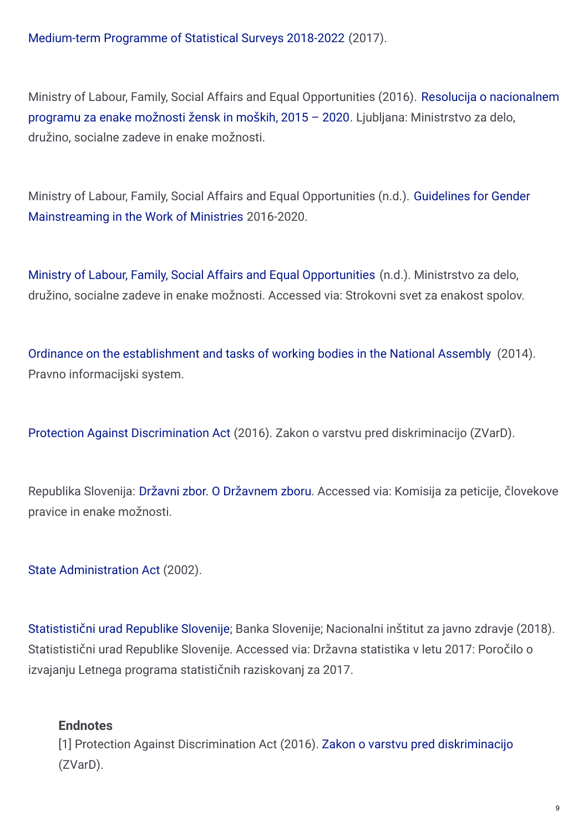[Medium-term](http://www.pisrs.si/Pis.web/pregledPredpisa?id=DRUG4366) Programme of Statistical Surveys 2018-2022 (2017).

Ministry of Labour, Family, Social Affairs and Equal [Opportunities](http://www.mddsz.gov.si) (2016). Resolucija o nacionalnem programu za enake možnosti žensk in moških, 2015 – 2020. Ljubljana: Ministrstvo za delo, družino, socialne zadeve in enake možnosti.

Ministry of Labour, Family, Social Affairs and Equal Opportunities (n.d.). Guidelines for Gender [Mainstreaming](http://www.mddsz.gov.si/si/delovna_podrocja/enake_moznosti/delovna_podrocja/integracija_nacela_enakosti_spolov/koordinatorice_in_koordinatorji_za_enake_moznosti_zensk_in_moskih/smernice_za_vkljucevanje_vidika_enakosti_spolov_v_delo_ministrstev_2016_2020/) in the Work of Ministries 2016-2020.

Ministry of Labour, Family, Social Affairs and Equal [Opportunities](http://www.mddsz.gov.si/si/delovna_podrocja/enake_moznosti/strokovni_svet_za_enakost_spolov/) (n.d.). Ministrstvo za delo, družino, socialne zadeve in enake možnosti. Accessed via: Strokovni svet za enakost spolov.

Ordinance on the [establishment](http://www.pisrs.si/Pis.web/pregledPredpisa?id=ODLO1809#) and tasks of working bodies in the National Assembly (2014). Pravno informacijski system.

Protection Against [Discrimination](http://www.pisrs.si/Pis.web/pregledPredpisa?id=ZAKO7273) Act (2016). Zakon o varstvu pred diskriminacijo (ZVarD).

Republika Slovenija: Državni zbor. O Drž[avnem](http://www.dz-rs.si/wps/portal/Home/ODrzavnemZboru/KdoJeKdo/DelovnoTelo?idDT=DT006) zboru. Accessed via: Komisija za peticije, človekove pravice in enake možnosti.

State [Administration](http://www.pisrs.si/Pis.web/pregledPredpisa?id=ZAKO3225) Act (2002).

Statististični urad [Republike](http://www.stat.si/StatWeb/File/DocSysFile/9988/Porocilo_LPSR_2017.pdf) Slovenije; Banka Slovenije; Nacionalni inštitut za javno zdravje (2018). Statististični urad Republike Slovenije. Accessed via: Državna statistika v letu 2017: Poročilo o izvajanju Letnega programa statističnih raziskovanj za 2017.

#### **Endnotes**

[1] Protection Against Discrimination Act (2016). Zakon o varstvu pred [diskriminacijo](http://www.pisrs.si/Pis.web/pregledPredpisa?id=ZAKO7273) (ZVarD).